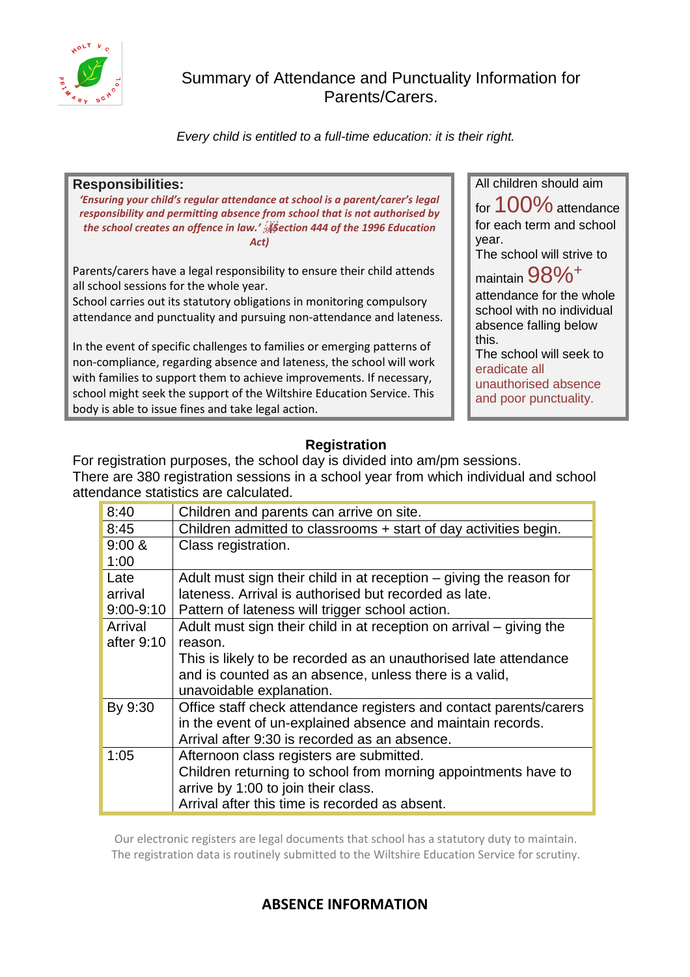

# Summary of Attendance and Punctuality Information for Parents/Carers.

*Every child is entitled to a full-time education: it is their right.* 

## **Responsibilities:** *'Ensuring your child's regular attendance at school is a parent/carer's legal responsibility and permitting absence from school that is not authorised by the school creates an offence in law.'* *(Section 444 of the 1996 Education Act)* Parents/carers have a legal responsibility to ensure their child attends all school sessions for the whole year. School carries out its statutory obligations in monitoring compulsory attendance and punctuality and pursuing non-attendance and lateness.

In the event of specific challenges to families or emerging patterns of non-compliance, regarding absence and lateness, the school will work with families to support them to achieve improvements. If necessary, school might seek the support of the Wiltshire Education Service. This body is able to issue fines and take legal action.

All children should aim for 100% attendance for each term and school year. The school will strive to maintain 98%<sup>+</sup> attendance for the whole school with no individual absence falling below this. The school will seek to eradicate all unauthorised absence and poor punctuality.

## **Registration**

For registration purposes, the school day is divided into am/pm sessions. There are 380 registration sessions in a school year from which individual and school attendance statistics are calculated.

| 8:40          | Children and parents can arrive on site.                              |
|---------------|-----------------------------------------------------------------------|
| 8:45          | Children admitted to classrooms + start of day activities begin.      |
| 9:00 &        | Class registration.                                                   |
| 1:00          |                                                                       |
| Late          | Adult must sign their child in at reception $-$ giving the reason for |
| arrival       | lateness. Arrival is authorised but recorded as late.                 |
| $9:00 - 9:10$ | Pattern of lateness will trigger school action.                       |
| Arrival       | Adult must sign their child in at reception on arrival – giving the   |
| after $9:10$  | reason.                                                               |
|               | This is likely to be recorded as an unauthorised late attendance      |
|               | and is counted as an absence, unless there is a valid,                |
|               | unavoidable explanation.                                              |
| By 9:30       | Office staff check attendance registers and contact parents/carers    |
|               | in the event of un-explained absence and maintain records.            |
|               | Arrival after 9:30 is recorded as an absence.                         |
| 1:05          | Afternoon class registers are submitted.                              |
|               | Children returning to school from morning appointments have to        |
|               | arrive by 1:00 to join their class.                                   |
|               | Arrival after this time is recorded as absent.                        |
|               |                                                                       |

Our electronic registers are legal documents that school has a statutory duty to maintain. The registration data is routinely submitted to the Wiltshire Education Service for scrutiny.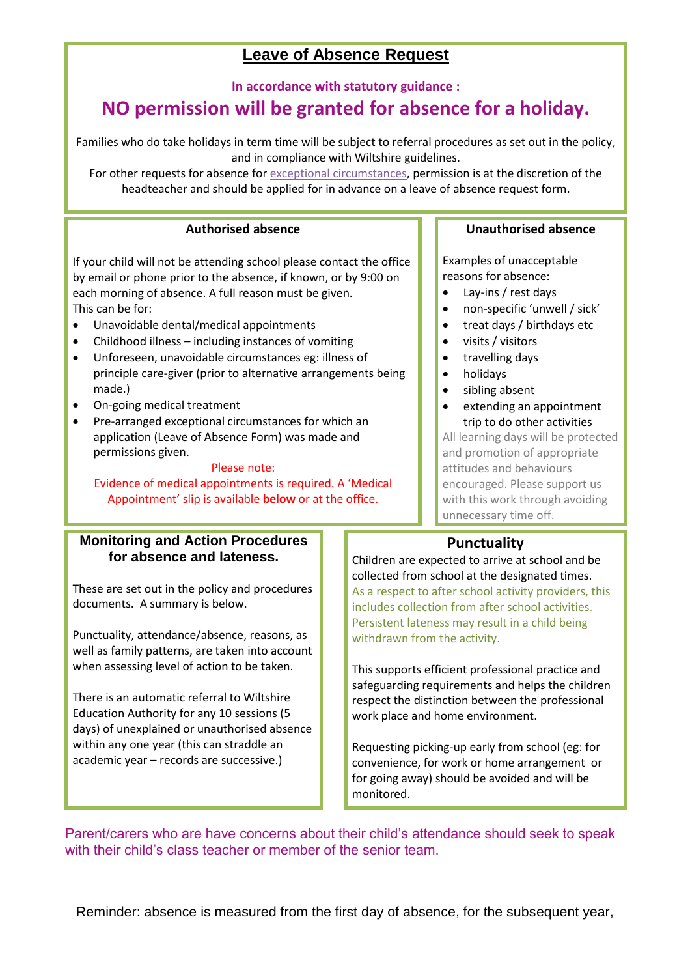# **Leave of Absence Request**

## **In accordance with statutory guidance :**

# **NO permission will be granted for absence for a holiday.**

Families who do take holidays in term time will be subject to referral procedures as set out in the policy, and in compliance with Wiltshire guidelines.

For other requests for absence for exceptional circumstances, permission is at the discretion of the headteacher and should be applied for in advance on a leave of absence request form.

## **Authorised absence**

If your child will not be attending school please contact the office by email or phone prior to the absence, if known, or by 9:00 on each morning of absence. A full reason must be given. This can be for:

- Unavoidable dental/medical appointments
- Childhood illness including instances of vomiting
- Unforeseen, unavoidable circumstances eg: illness of principle care-giver (prior to alternative arrangements being made.)
- On-going medical treatment
- Pre-arranged exceptional circumstances for which an application (Leave of Absence Form) was made and permissions given.

#### Please note:

Evidence of medical appointments is required. A 'Medical Appointment' slip is available **below** or at the office.

## **Monitoring and Action Procedures for absence and lateness.**

These are set out in the policy and procedures documents. A summary is below.

Punctuality, attendance/absence, reasons, as well as family patterns, are taken into account when assessing level of action to be taken.

There is an automatic referral to Wiltshire Education Authority for any 10 sessions (5 days) of unexplained or unauthorised absence within any one year (this can straddle an academic year – records are successive.)

### **Unauthorised absence**

Examples of unacceptable reasons for absence:

- Lay-ins / rest days
- non-specific 'unwell / sick'
- treat days / birthdays etc
- visits / visitors
- travelling days
- holidays
- sibling absent
- extending an appointment trip to do other activities

All learning days will be protected and promotion of appropriate attitudes and behaviours encouraged. Please support us with this work through avoiding unnecessary time off.

## **Punctuality**

Children are expected to arrive at school and be collected from school at the designated times. As a respect to after school activity providers, this includes collection from after school activities. Persistent lateness may result in a child being withdrawn from the activity.

This supports efficient professional practice and safeguarding requirements and helps the children respect the distinction between the professional work place and home environment.

Requesting picking-up early from school (eg: for convenience, for work or home arrangement or for going away) should be avoided and will be monitored.

 Parent/carers who are have concerns about their child's attendance should seek to speak with their child's class teacher or member of the senior team.

Reminder: absence is measured from the first day of absence, for the subsequent year,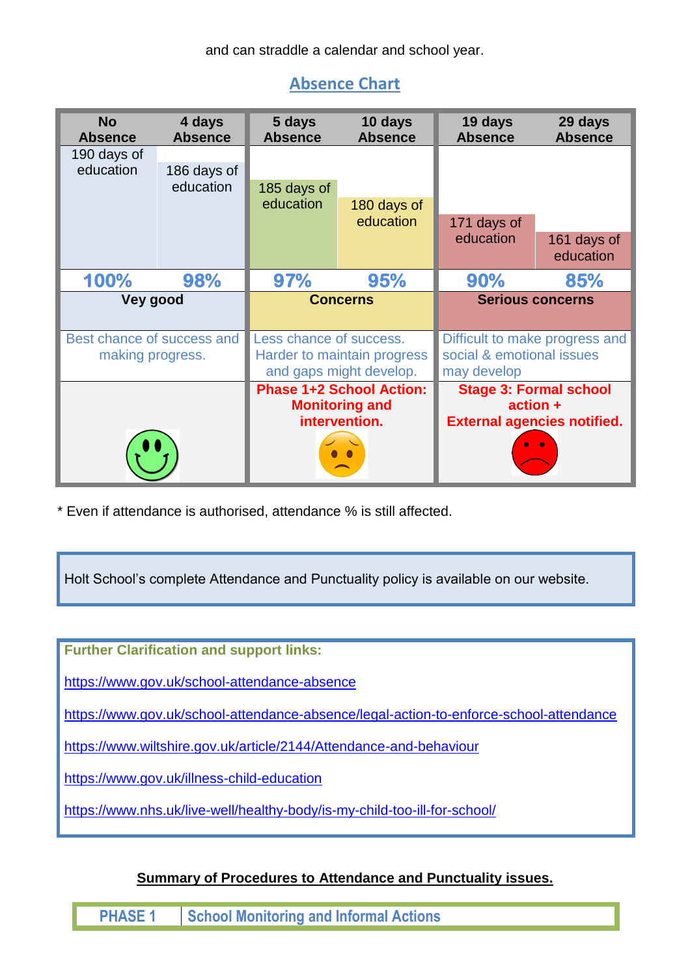and can straddle a calendar and school year.

# **Absence Chart**

| <b>No</b><br><b>Absence</b>                    | 4 days<br><b>Absence</b> | 5 days<br><b>Absence</b>                                                          | 10 days<br><b>Absence</b> | 19 days<br><b>Absence</b>                                                  | 29 days<br><b>Absence</b>                                                         |
|------------------------------------------------|--------------------------|-----------------------------------------------------------------------------------|---------------------------|----------------------------------------------------------------------------|-----------------------------------------------------------------------------------|
| 190 days of<br>education                       | 186 days of<br>education | 185 days of                                                                       |                           |                                                                            |                                                                                   |
|                                                |                          | education                                                                         | 180 days of<br>education  | 171 days of                                                                |                                                                                   |
|                                                |                          |                                                                                   |                           | education                                                                  | 161 days of<br>education                                                          |
| 100%                                           | 98%                      | 97%                                                                               | 95%                       | 90%                                                                        | 85%                                                                               |
| Vey good                                       |                          | <b>Concerns</b>                                                                   |                           | <b>Serious concerns</b>                                                    |                                                                                   |
| Best chance of success and<br>making progress. |                          | Less chance of success.<br>Harder to maintain progress<br>and gaps might develop. |                           | Difficult to make progress and<br>social & emotional issues<br>may develop |                                                                                   |
|                                                |                          | <b>Phase 1+2 School Action:</b><br><b>Monitoring and</b><br>intervention.         |                           |                                                                            | <b>Stage 3: Formal school</b><br>$action +$<br><b>External agencies notified.</b> |

\* Even if attendance is authorised, attendance % is still affected.

Holt School's complete Attendance and Punctuality policy is available on our website.

**Further Clarification and support links:**

<https://www.gov.uk/school-attendance-absence>

<https://www.gov.uk/school-attendance-absence/legal-action-to-enforce-school-attendance>

<https://www.wiltshire.gov.uk/article/2144/Attendance-and-behaviour>

<https://www.gov.uk/illness-child-education>

<https://www.nhs.uk/live-well/healthy-body/is-my-child-too-ill-for-school/>

**Summary of Procedures to Attendance and Punctuality issues.**

**PHASE 1 School Monitoring and Informal Actions**